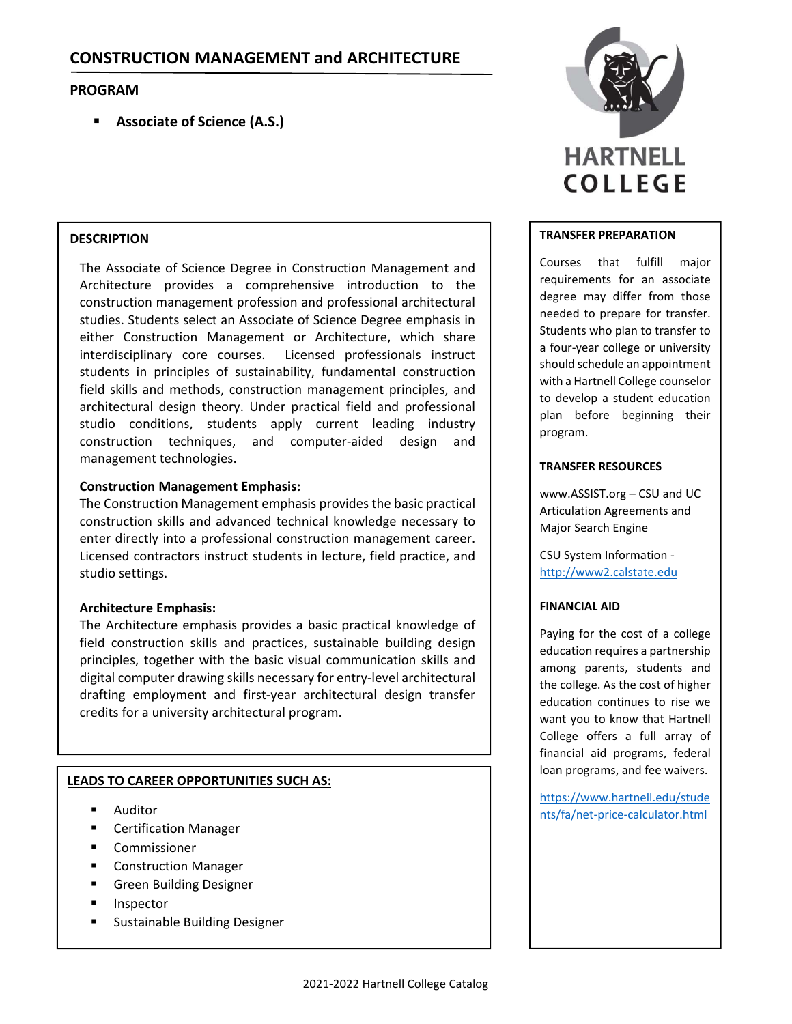# **PROGRAM**

**Associate of Science (A.S.)**

# **DESCRIPTION**

The Associate of Science Degree in Construction Management and Architecture provides a comprehensive introduction to the construction management profession and professional architectural studies. Students select an Associate of Science Degree emphasis in either Construction Management or Architecture, which share interdisciplinary core courses. Licensed professionals instruct students in principles of sustainability, fundamental construction field skills and methods, construction management principles, and architectural design theory. Under practical field and professional studio conditions, students apply current leading industry construction techniques, and computer‐aided design and management technologies.

## **Construction Management Emphasis:**

The Construction Management emphasis provides the basic practical construction skills and advanced technical knowledge necessary to enter directly into a professional construction management career. Licensed contractors instruct students in lecture, field practice, and studio settings.

# **Architecture Emphasis:**

The Architecture emphasis provides a basic practical knowledge of field construction skills and practices, sustainable building design principles, together with the basic visual communication skills and digital computer drawing skills necessary for entry‐level architectural drafting employment and first‐year architectural design transfer credits for a university architectural program.

# **LEADS TO CAREER OPPORTUNITIES SUCH AS:**

- **-** Auditor
- Certification Manager
- Commissioner
- **E** Construction Manager
- Green Building Designer
- **Inspector**
- **Sustainable Building Designer**



## **TRANSFER PREPARATION**

Courses that fulfill major requirements for an associate degree may differ from those needed to prepare for transfer. Students who plan to transfer to a four‐year college or university should schedule an appointment with a Hartnell College counselor to develop a student education plan before beginning their program.

## **TRANSFER RESOURCES**

www.ASSIST.org – CSU and UC Articulation Agreements and Major Search Engine

CSU System Information ‐ http://www2.calstate.edu

# **FINANCIAL AID**

Paying for the cost of a college education requires a partnership among parents, students and the college. As the cost of higher education continues to rise we want you to know that Hartnell College offers a full array of financial aid programs, federal loan programs, and fee waivers.

https://www.hartnell.edu/stude nts/fa/net‐price‐calculator.html